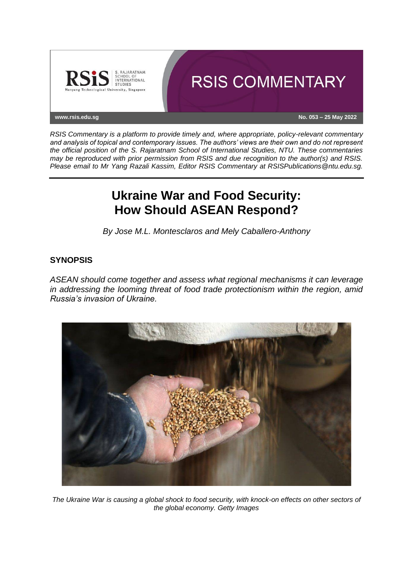

*RSIS Commentary is a platform to provide timely and, where appropriate, policy-relevant commentary and analysis of topical and contemporary issues. The authors' views are their own and do not represent the official position of the S. Rajaratnam School of International Studies, NTU. These commentaries may be reproduced with prior permission from RSIS and due recognition to the author(s) and RSIS. Please email to Mr Yang Razali Kassim, Editor RSIS Commentary at RSISPublications@ntu.edu.sg.*

# **Ukraine War and Food Security: How Should ASEAN Respond?**

*By Jose M.L. Montesclaros and Mely Caballero-Anthony*

## **SYNOPSIS**

*ASEAN should come together and assess what regional mechanisms it can leverage in addressing the looming threat of food trade protectionism within the region, amid Russia's invasion of Ukraine.*



*The Ukraine War is causing a global shock to food security, with knock-on effects on other sectors of the global economy. Getty Images*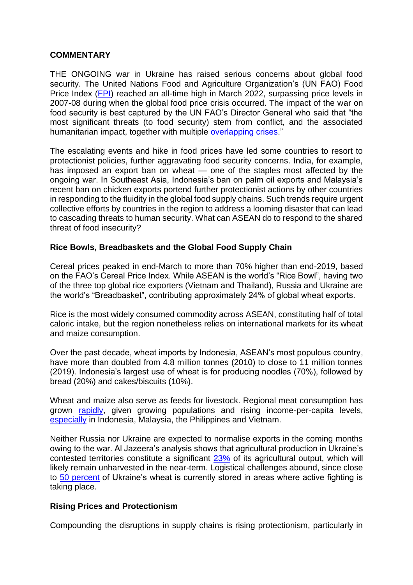### **COMMENTARY**

THE ONGOING war in Ukraine has raised serious concerns about global food security. The United Nations Food and Agriculture Organization's (UN FAO) Food Price Index [\(FPI\)](https://www.fao.org/worldfoodsituation/foodpricesindex/en/) reached an all-time high in March 2022, surpassing price levels in 2007-08 during when the global food price crisis occurred. The impact of the war on food security is best captured by the UN FAO's Director General who said that "the most significant threats (to food security) stem from conflict, and the associated humanitarian impact, together with multiple [overlapping crises.](https://news.un.org/en/story/2022/05/1118172)"

The escalating events and hike in food prices have led some countries to resort to protectionist policies, further aggravating food security concerns. India, for example, has imposed an export ban on wheat — one of the staples most affected by the ongoing war. In Southeast Asia, Indonesia's ban on palm oil exports and Malaysia's recent ban on chicken exports portend further protectionist actions by other countries in responding to the fluidity in the global food supply chains. Such trends require urgent collective efforts by countries in the region to address a looming disaster that can lead to cascading threats to human security. What can ASEAN do to respond to the shared threat of food insecurity?

## **Rice Bowls, Breadbaskets and the Global Food Supply Chain**

Cereal prices peaked in end-March to more than 70% higher than end-2019, based on the FAO's Cereal Price Index. While ASEAN is the world's "Rice Bowl", having two of the three top global rice exporters (Vietnam and Thailand), Russia and Ukraine are the world's "Breadbasket", contributing approximately 24% of global wheat exports.

Rice is the most widely consumed commodity across ASEAN, constituting half of total caloric intake, but the region nonetheless relies on international markets for its wheat and maize consumption.

Over the past decade, wheat imports by Indonesia, ASEAN's most populous country, have more than doubled from 4.8 million tonnes (2010) to close to 11 million tonnes (2019). Indonesia's largest use of wheat is for producing noodles (70%), followed by bread (20%) and cakes/biscuits (10%).

Wheat and maize also serve as feeds for livestock. Regional meat consumption has grown [rapidly,](https://www.fao.org/3/w8600t/w8600t04.htm) given growing populations and rising income-per-capita levels, [especially](https://www.ers.usda.gov/amber-waves/2019/april/southeast-asia-s-growing-meat-demand-and-its-implications-for-feedstuffs-imports/) in Indonesia, Malaysia, the Philippines and Vietnam.

Neither Russia nor Ukraine are expected to normalise exports in the coming months owing to the war. Al Jazeera's analysis shows that agricultural production in Ukraine's contested territories constitute a significant [23%](https://www.aljazeera.com/wp-content/uploads/2022/04/INTERACTIVE-WHEAT-PRODUCTION-UKRAINE-2.png?w=770&resize=770%2C759) of its agricultural output, which will likely remain unharvested in the near-term. Logistical challenges abound, since close to [50 percent](https://www.fao.org/3/cb9171en/cb9171en.pdf) of Ukraine's wheat is currently stored in areas where active fighting is taking place.

### **Rising Prices and Protectionism**

Compounding the disruptions in supply chains is rising protectionism, particularly in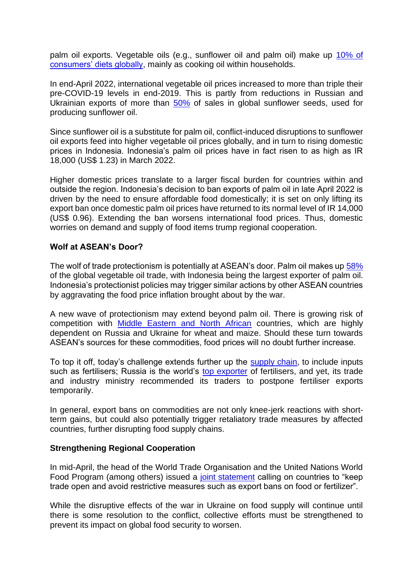palm oil exports. Vegetable oils (e.g., sunflower oil and palm oil) make up 10% of [consumers' diets globally,](https://www.ifpri.org/blog/impact-ukraine-crisis-global-vegetable-oil-market) mainly as cooking oil within households.

In end-April 2022, international vegetable oil prices increased to more than triple their pre-COVID-19 levels in end-2019. This is partly from reductions in Russian and Ukrainian exports of more than [50%](https://www.fao.org/3/cb9013en/cb9013en.pdf) of sales in global sunflower seeds, used for producing sunflower oil.

Since sunflower oil is a substitute for palm oil, conflict-induced disruptions to sunflower oil exports feed into higher vegetable oil prices globally, and in turn to rising domestic prices in Indonesia. Indonesia's palm oil prices have in fact risen to as high as IR 18,000 (US\$ 1.23) in March 2022.

Higher domestic prices translate to a larger fiscal burden for countries within and outside the region. Indonesia's decision to ban exports of palm oil in late April 2022 is driven by the need to ensure affordable food domestically; it is set on only lifting its export ban once domestic palm oil prices have returned to its normal level of IR 14,000 (US\$ 0.96). Extending the ban worsens international food prices. Thus, domestic worries on demand and supply of food items trump regional cooperation.

## **Wolf at ASEAN's Door?**

The wolf of trade protectionism is potentially at ASEAN's door. Palm oil makes up [58%](https://www.ifpri.org/blog/impact-ukraine-crisis-global-vegetable-oil-market) of the global vegetable oil trade, with Indonesia being the largest exporter of palm oil. Indonesia's protectionist policies may trigger similar actions by other ASEAN countries by aggravating the food price inflation brought about by the war.

A new wave of protectionism may extend beyond palm oil. There is growing risk of competition with [Middle Eastern and North African](https://www.cfr.org/in-brief/how-russias-war-ukraine-could-amplify-food-insecurity-mideast) countries, which are highly dependent on Russia and Ukraine for wheat and maize. Should these turn towards ASEAN's sources for these commodities, food prices will no doubt further increase.

To top it off, today's challenge extends further up the [supply chain,](https://www.csis.org/analysis/russia-ukraine-war-and-global-food-security-seven-week-assessment-and-way-forward) to include inputs such as fertilisers; Russia is the world's [top exporter](https://www.fao.org/3/cb9236en/cb9236en.pdf) of fertilisers, and yet, its trade and industry ministry recommended its traders to postpone fertiliser exports temporarily.

In general, export bans on commodities are not only knee-jerk reactions with shortterm gains, but could also potentially trigger retaliatory trade measures by affected countries, further disrupting food supply chains.

### **Strengthening Regional Cooperation**

In mid-April, the head of the World Trade Organisation and the United Nations World Food Program (among others) issued a [joint statement](https://www.wto.org/english/news_e/news22_e/igo_13apr22_e.htm) calling on countries to "keep trade open and avoid restrictive measures such as export bans on food or fertilizer".

While the disruptive effects of the war in Ukraine on food supply will continue until there is some resolution to the conflict, collective efforts must be strengthened to prevent its impact on global food security to worsen.